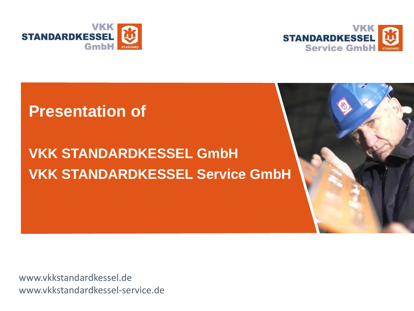



### **Presentation of**

# **VKK STANDARDKESSEL GmbH VKK STANDARDKESSEL Service GmbH**



www.vkkstandardkessel.de www.vkkstandardkessel-service.de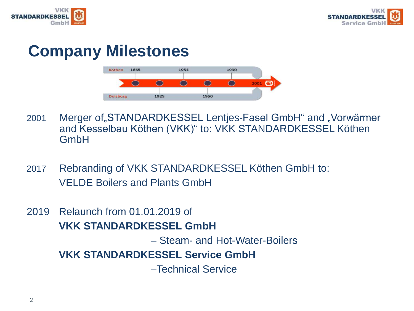



## **Company Milestones**



- 2001 Merger of"STANDARDKESSEL Lentjes-Fasel GmbH" and "Vorwärmer and Kesselbau Köthen (VKK)" to: VKK STANDARDKESSEL Köthen GmbH
- 2017 Rebranding of VKK STANDARDKESSEL Köthen GmbH to: VELDE Boilers and Plants GmbH
- 2019 Relaunch from 01.01.2019 of **VKK STANDARDKESSEL GmbH**  – Steam- and Hot-Water-Boilers **VKK STANDARDKESSEL Service GmbH**  –Technical Service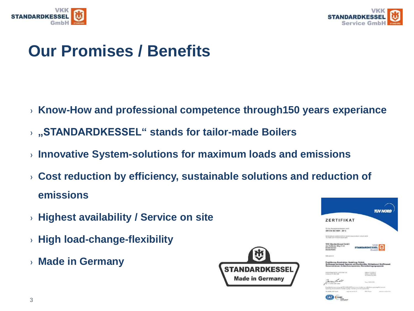



# **Our Promises / Benefits**

- › **Know-How and professional competence through150 years experiance**
- › **"STANDARDKESSEL" stands for tailor-made Boilers**
- › **Innovative System-solutions for maximum loads and emissions**
- › **Cost reduction by efficiency, sustainable solutions and reduction of emissions**
- › **Highest availability / Service on site**
- › **High load-change-flexibility**
- › **Made in Germany**



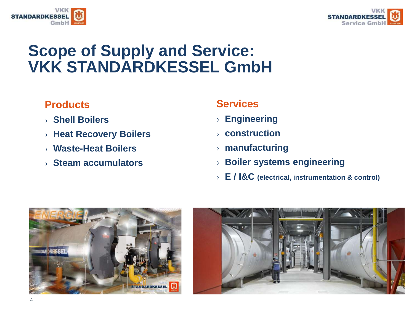



## **Scope of Supply and Service: VKK STANDARDKESSEL GmbH**

### **Products**

- › **Shell Boilers**
- › **Heat Recovery Boilers**
- › **Waste-Heat Boilers**
- › **Steam accumulators**

#### **Services**

- › **Engineering**
- › **construction**
- › **manufacturing**
- › **Boiler systems engineering**
- › **E / I&C (electrical, instrumentation & control)**



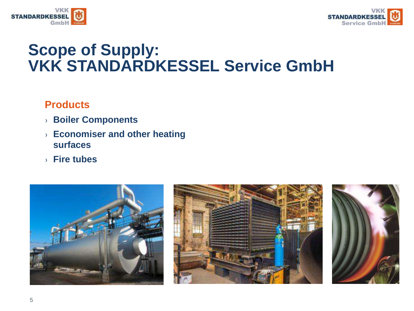



## **Scope of Supply: VKK STANDARDKESSEL Service GmbH**

### **Products**

- › **Boiler Components**
- › **Economiser and other heating surfaces**
- › **Fire tubes**



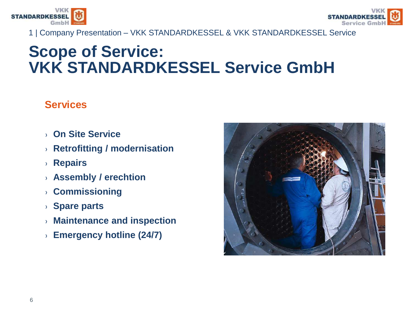



1 | Company Presentation – VKK STANDARDKESSEL & VKK STANDARDKESSEL Service

## **Scope of Service: VKK STANDARDKESSEL Service GmbH**

### **Services**

- › **On Site Service**
- › **Retrofitting / modernisation**
- › **Repairs**
- › **Assembly / erechtion**
- › **Commissioning**
- › **Spare parts**
- › **Maintenance and inspection**
- › **Emergency hotline (24/7)**

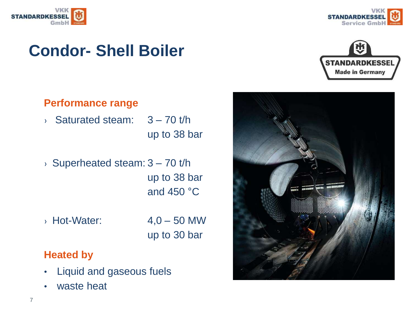





## **Condor- Shell Boiler**



### **Performance range**

- $\rightarrow$  Saturated steam:  $3 70$  t/h up to 38 bar
- $\rightarrow$  Superheated steam:  $3 70$  t/h up to 38 bar and 450 °C
- $\rightarrow$  Hot-Water:  $4,0 50$  MW
	- up to 30 bar

#### **Heated by**

- Liquid and gaseous fuels
- waste heat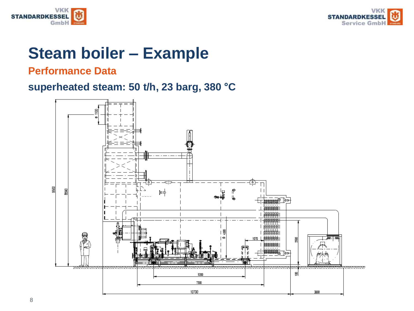



## **Steam boiler – Example**

#### **Performance Data**

### **superheated steam: 50 t/h, 23 barg, 380 °C**

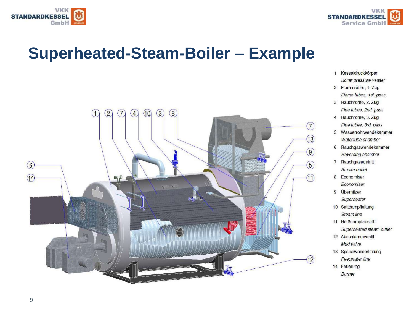



## **Superheated-Steam-Boiler – Example**



- 1 Kesseldruckkörper **Boiler pressure vessel**
- 2 Flammrohre, 1. Zug Flame tubes, 1st. pass
- 3 Rauchrohre, 2. Zug Flue tubes, 2nd. pass
- 4 Rauchrohre, 3. Zug Flue tubes, 3rd. pass
- 5 Wasserrohrwendekammer Watertube chamber
- 6 Rauchgaswendekammer Reversing chamber
- 7 Rauchgasaustritt Smoke outlet
- 8 Economiser Economiser
- 9 Überhitzer Superheater
- 10 Sattdampfleitung Steam line
- 11 Heißdampfaustritt Superheated steam outlet
- 12 Abschlammventil Mud valve
- 13 Speisewasserleitung Feedwater line
- 14 Feuerung
	- Burner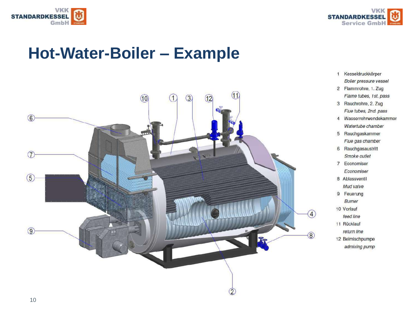



## **Hot-Water-Boiler – Example**



- 1 Kesseldruckkörper Boiler pressure vessel
- 2 Flammrohre, 1. Zug Flame tubes, 1st. pass
- 3 Rauchrohre, 2. Zug Flue tubes, 2nd. pass
- 4 Wasserrohrwendekammer Watertube chamber
- 5 Rauchgaskammer Flue gas chamber
- 6 Rauchgasaustritt Smoke outlet
- 7 Economiser Economiser
- 8 Ablassventil
- Mud valve
- 9 Feuerung
	- Burner
- 10 Vorlauf
- feed line
- 11 Rücklauf
- return line
- 12 Beimischpumpe
- - admixing pump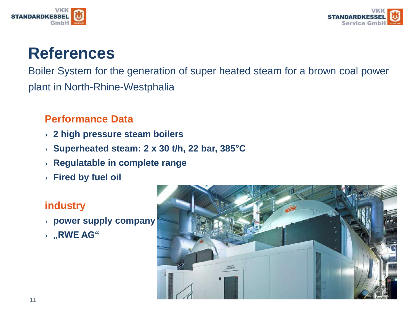



Boiler System for the generation of super heated steam for a brown coal power plant in North-Rhine-Westphalia

### **Performance Data**

- › **2 high pressure steam boilers**
- › **Superheated steam: 2 x 30 t/h, 22 bar, 385°C**
- › **Regulatable in complete range**
- › **Fired by fuel oil**

### **industry**

- › **power supply company**
- › **"RWE AG"**

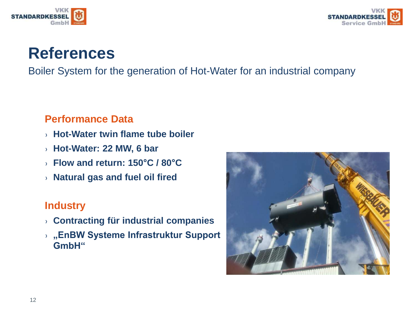



Boiler System for the generation of Hot-Water for an industrial company

#### **Performance Data**

- › **Hot-Water twin flame tube boiler**
- › **Hot-Water: 22 MW, 6 bar**
- › **Flow and return: 150°C / 80°C**
- › **Natural gas and fuel oil fired**

#### **Industry**

- › **Contracting für industrial companies**
- › **"EnBW Systeme Infrastruktur Support GmbH"**

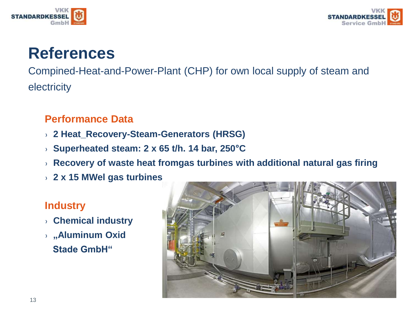



Compined-Heat-and-Power-Plant (CHP) for own local supply of steam and electricity

### **Performance Data**

- › **2 Heat\_Recovery-Steam-Generators (HRSG)**
- › **Superheated steam: 2 x 65 t/h. 14 bar, 250°C**
- › **Recovery of waste heat fromgas turbines with additional natural gas firing**
- › **2 x 15 MWel gas turbines**

### **Industry**

- › **Chemical industry**
- › **"Aluminum Oxid Stade GmbH"**

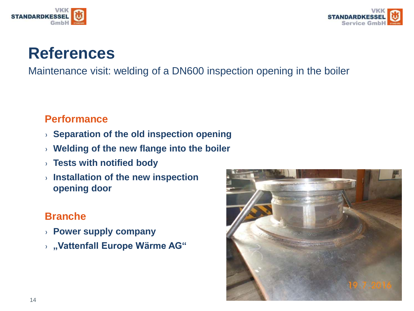



Maintenance visit: welding of a DN600 inspection opening in the boiler

### **Performance**

- › **Separation of the old inspection opening**
- › **Welding of the new flange into the boiler**
- › **Tests with notified body**
- › **Installation of the new inspection opening door**

### **Branche**

- › **Power supply company**
- › **"Vattenfall Europe Wärme AG"**

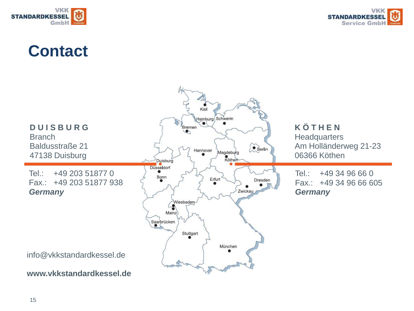



## **Contact**